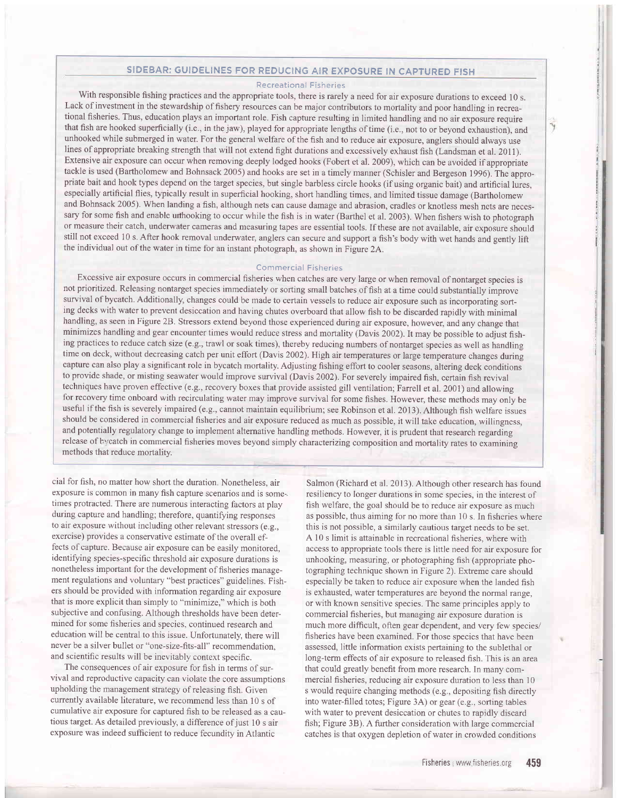## SIDEBAR: GUIDELINES FOR REDUCING AIR EXPOSURE IN CAPTURED FISH

## Reereational Fisheries

With responsible fishing practices and the appropriate tools, there is rarely a need for air exposure durations to exceed 10 s. Lack of investment in the stewardship of fishery resources can be major contributors to mortality and poor handling in recreational fisheries. Thus, education plays an important role. Fish capture resulting in timited handling and no air exposure require that fish are hooked superficially (i.e., in thejaw), played for appropriate lengths oftime (i.e., not to or beyond exhaustion), and unhooked while submerged in water. For the general welfare of the fish and to reduce air exposure, anglers should always use lines of appropriate breaking strength that will not extend fight durations and excessively exhaust fish (Landsman et al. 2011). Extensive air exposure can occur when removing deeply lodged hooks (Fobert et al. 2009), which can be avoided if appropriate tackle is used (Bartholomew and Bohnsack 2005) and hooks are set in a timely manner (Schisler and Bergeson 1996). The appropriate bait and hook types depend on the target species, but single barbless circle hooks (if using organic bait) and artificial lures, especially artificial flies, typically result in superficial hooking, short handling times, and limited tissue damage (Bartholomew and Bohnsack 2005). When landing a fish, although nets can cause damage and abrasion, cradles or knotless mesh nets are necessary for some fish and enable urthooking to occur while the fish is in water (Barthel et al. 2003). When fishers wish to photograph or measure their catch, underwater cameras and measuring tapes are essential tools. If these are not available, air exposure should still not exceed 10 s. After hook removal underwater, anglers can secure and support a fish's body with wet hands and gently lift the individual out of the water in time for an instant photograph, as shown in Figure 2A.

## Commercial Fisheries

Excessive air exposure occurs in commercial fisheries when catches are very large or when removal of nontarget species is not prioritized. Releasing nontarget species immediately or sorting small batches of fish at a time could substantially improve survival of bycatch. Additionally, changes could be made to certain vessels to reduce air exposure such as incorporating sorting decks with water to prevent desiccation and having chutes overboard that allow fish to be discarded rapidly with minimal handling, as seen in Figure 28. Stressors extend beyond those experienced during air exposure, however, and any change that minimizes handling and gear encounter times would reduce stress and mortality (Davis 2002). It may be possible to adjust fishing practices to reduce catch size (e.g., trawl or soak times), thereby reducing numbers of nontarget species as well as handling time on deck, without decreasing catch per unit effort (Davis 2002). High air temperatures or large temperature changes during capture can also play a significant role in bycatch mortality. Adjusting fishing effort to cooler seasons, altering deck conditions to provide shade, or misting seawater would improve survival (Davis 2002). For severely impaired fish, certain fish revival techniques have proven effective (e.g., recovery boxes that provide assisted gill ventilation; Farrell et al. 2001) and allowing for recovery time onboard with recirculating water may improve survival for some fishes. However, these methods may only be useful if the fish is severely impaired (e.g., cannot maintain equilibrium; see Robinson et al. 2013). Although fish welfare issues should be considered in commercial fisheries and air exposure reduced as much as possible, it will take education, willingness, and potentially regulatory change to implement alternative handling methods. However, it is prudent that research regarding release of hvcatch in commercial fisheries moves beyond simply characterizing composition and mortality rates to examining methods that reduce mortalitv.

cial for fish, no matter how short the duration. Nonetheless, air exposure is common in many fish capture scenarios and is sometimes protracted. There are numerous interacting factors at play during capture and handling; therefore, quantifying responses to air exposure without including other relevant stressors (e.g., exercise) provides a conservative estimate of the overall effects of capfure. Because air exposure can be easily monitored, identifying species-specific threshold air exposure durations is nonetheless important for the development of fisheries management regulations and voluntary "best practices" guidelines. Fishers should be provided with information regarding air exposure that is more explicit than simply to "minimize," which is both subjective and confusing. Although thresholds have been determined for some fisheries and species, continued research and education will be central to this issue. Unfortunately, there will never be a silver bullet or "one-size-fits-all" recommendation, and scientific results will be inevitably context specific.

The consequences of air exposure for fish in terms of survival and reproductive capacity can violate the core assumptions upholding the management strategy of releasing fish. Given currently available literature, we recommend less than 10 s of cumulative air exposure for captured fish to be released as a cautious target. As detailed previously, a difference of just 10 s air exposure was indeed sufficient to reduce fecundity in Atlantic

Salmon (Richard et al. 2013). Although other research has found resiliency to longer durations in some species, in the interest of fish welfare, the goal should be to reduce air exposure as much as possible, thus aiming for no more than 10 s. In fisheries where this is not possible, a similarly cautious target needs to be set. A 10 s limit is attainable in recreational fisheries, where with access to appropriate tools there is little need for air exposure for unhooking, measuring, or photographing fish (appropriate photographing technique shown in Figure 2). Extreme care should especially be taken to reduce air exposure when the landed fish is exhausted, water temperatures are beyond the normal range, or with known sensitive species. The same principles apply to commercial fisheries, but managing air exposure duration is much more difficult, often gear dependent, and very few species/ fisheries have been examined. For those species that have been assessed, little information exists pertaining to the sublethal or long-term effects of air exposure to released fish. This is an area that could greatly benefit from more research. In many commercial fisheries, reducing air exposure duration to less than 10 s would require changing methods (e.g., depositing fish directly into water-filled totes; Figure  $3A$ ) or gear (e.g., sorting tables with water to prevent desiccation or chutes to rapidly discard fish; Figure 3B). A further consideration with large commercial catches is that oxygen depletion of water in crowded conditions

 $\tilde{\mathcal{F}}$